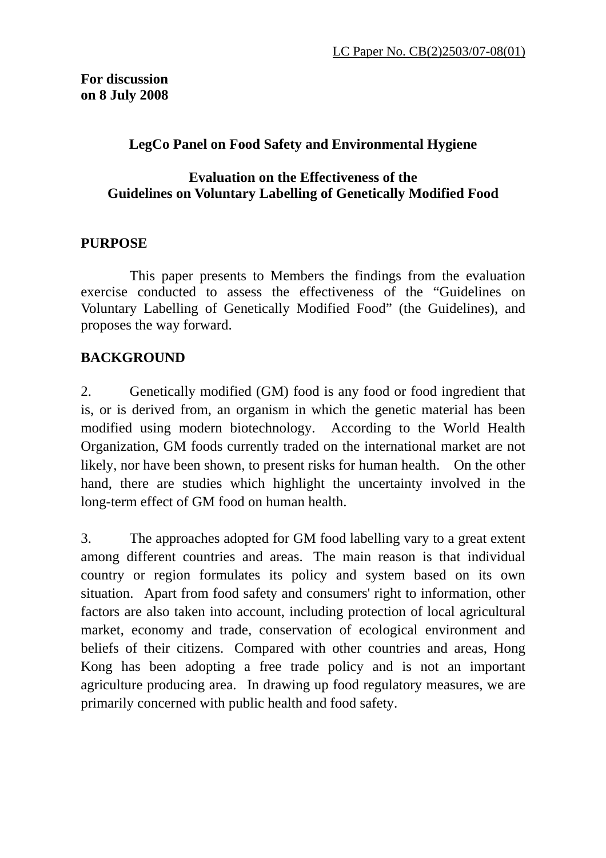### **LegCo Panel on Food Safety and Environmental Hygiene**

#### **Evaluation on the Effectiveness of the Guidelines on Voluntary Labelling of Genetically Modified Food**

#### **PURPOSE**

 This paper presents to Members the findings from the evaluation exercise conducted to assess the effectiveness of the "Guidelines on Voluntary Labelling of Genetically Modified Food" (the Guidelines), and proposes the way forward.

## **BACKGROUND**

2. Genetically modified (GM) food is any food or food ingredient that is, or is derived from, an organism in which the genetic material has been modified using modern biotechnology. According to the World Health Organization, GM foods currently traded on the international market are not likely, nor have been shown, to present risks for human health. On the other hand, there are studies which highlight the uncertainty involved in the long-term effect of GM food on human health.

3. The approaches adopted for GM food labelling vary to a great extent among different countries and areas. The main reason is that individual country or region formulates its policy and system based on its own situation. Apart from food safety and consumers' right to information, other factors are also taken into account, including protection of local agricultural market, economy and trade, conservation of ecological environment and beliefs of their citizens. Compared with other countries and areas, Hong Kong has been adopting a free trade policy and is not an important agriculture producing area. In drawing up food regulatory measures, we are primarily concerned with public health and food safety.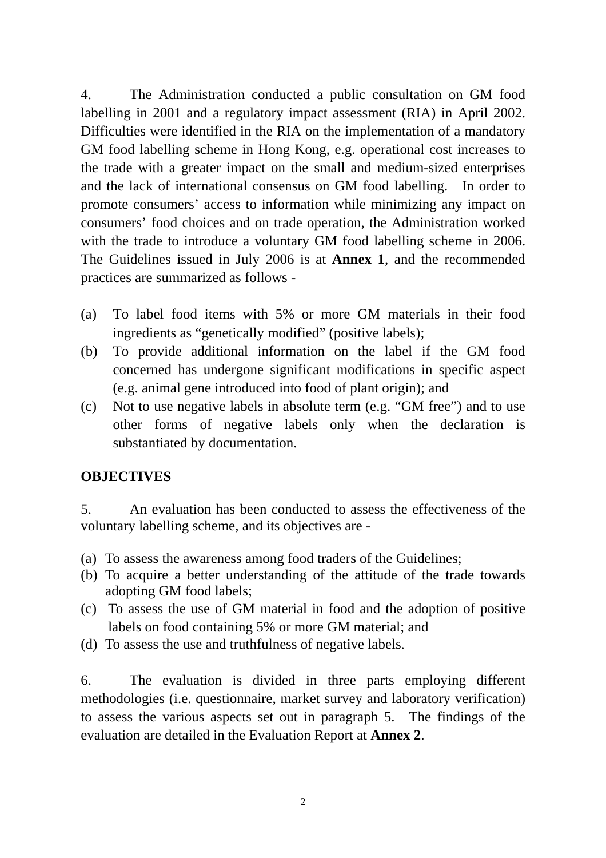4. The Administration conducted a public consultation on GM food labelling in 2001 and a regulatory impact assessment (RIA) in April 2002. Difficulties were identified in the RIA on the implementation of a mandatory GM food labelling scheme in Hong Kong, e.g. operational cost increases to the trade with a greater impact on the small and medium-sized enterprises and the lack of international consensus on GM food labelling. In order to promote consumers' access to information while minimizing any impact on consumers' food choices and on trade operation, the Administration worked with the trade to introduce a voluntary GM food labelling scheme in 2006. The Guidelines issued in July 2006 is at **Annex 1**, and the recommended practices are summarized as follows -

- (a) To label food items with 5% or more GM materials in their food ingredients as "genetically modified" (positive labels);
- (b) To provide additional information on the label if the GM food concerned has undergone significant modifications in specific aspect (e.g. animal gene introduced into food of plant origin); and
- (c) Not to use negative labels in absolute term (e.g. "GM free") and to use other forms of negative labels only when the declaration is substantiated by documentation.

#### **OBJECTIVES**

5. An evaluation has been conducted to assess the effectiveness of the voluntary labelling scheme, and its objectives are -

- (a) To assess the awareness among food traders of the Guidelines;
- (b) To acquire a better understanding of the attitude of the trade towards adopting GM food labels;
- (c) To assess the use of GM material in food and the adoption of positive labels on food containing 5% or more GM material; and
- (d) To assess the use and truthfulness of negative labels.

6. The evaluation is divided in three parts employing different methodologies (i.e. questionnaire, market survey and laboratory verification) to assess the various aspects set out in paragraph 5. The findings of the evaluation are detailed in the Evaluation Report at **Annex 2**.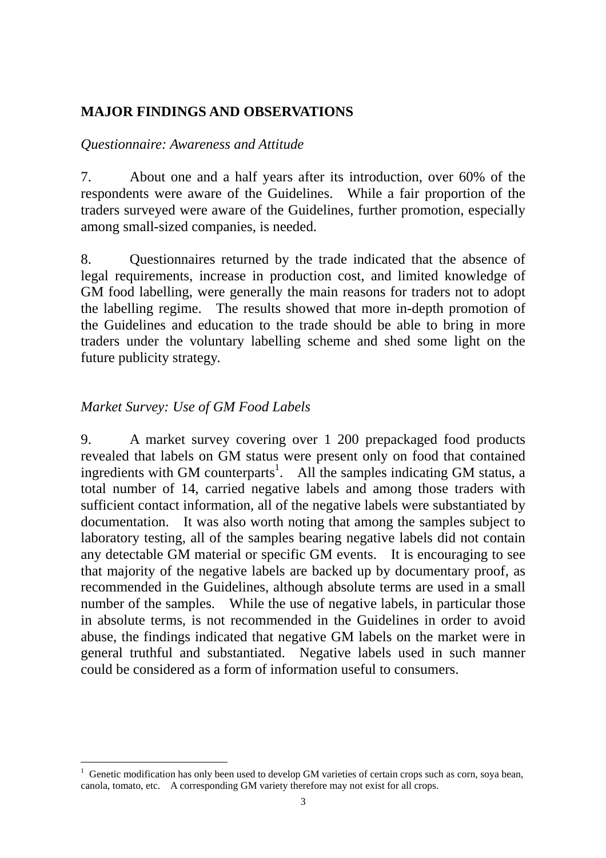### **MAJOR FINDINGS AND OBSERVATIONS**

#### *Questionnaire: Awareness and Attitude*

7. About one and a half years after its introduction, over 60% of the respondents were aware of the Guidelines. While a fair proportion of the traders surveyed were aware of the Guidelines, further promotion, especially among small-sized companies, is needed.

8. Questionnaires returned by the trade indicated that the absence of legal requirements, increase in production cost, and limited knowledge of GM food labelling, were generally the main reasons for traders not to adopt the labelling regime. The results showed that more in-depth promotion of the Guidelines and education to the trade should be able to bring in more traders under the voluntary labelling scheme and shed some light on the future publicity strategy.

## *Market Survey: Use of GM Food Labels*

 $\overline{a}$ 

9. A market survey covering over 1 200 prepackaged food products revealed that labels on GM status were present only on food that contained ingredients with GM counterparts<sup>1</sup>. All the samples indicating GM status, a total number of 14, carried negative labels and among those traders with sufficient contact information, all of the negative labels were substantiated by documentation. It was also worth noting that among the samples subject to laboratory testing, all of the samples bearing negative labels did not contain any detectable GM material or specific GM events. It is encouraging to see that majority of the negative labels are backed up by documentary proof, as recommended in the Guidelines, although absolute terms are used in a small number of the samples. While the use of negative labels, in particular those in absolute terms, is not recommended in the Guidelines in order to avoid abuse, the findings indicated that negative GM labels on the market were in general truthful and substantiated. Negative labels used in such manner could be considered as a form of information useful to consumers.

<sup>1</sup> Genetic modification has only been used to develop GM varieties of certain crops such as corn, soya bean, canola, tomato, etc. A corresponding GM variety therefore may not exist for all crops.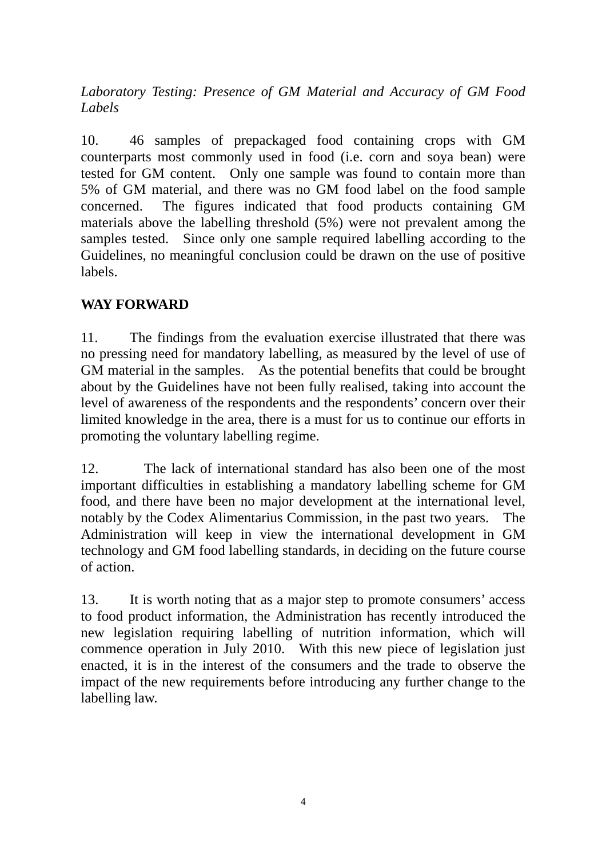*Laboratory Testing: Presence of GM Material and Accuracy of GM Food Labels* 

10. 46 samples of prepackaged food containing crops with GM counterparts most commonly used in food (i.e. corn and soya bean) were tested for GM content. Only one sample was found to contain more than 5% of GM material, and there was no GM food label on the food sample concerned. The figures indicated that food products containing GM materials above the labelling threshold (5%) were not prevalent among the samples tested. Since only one sample required labelling according to the Guidelines, no meaningful conclusion could be drawn on the use of positive labels.

## **WAY FORWARD**

11. The findings from the evaluation exercise illustrated that there was no pressing need for mandatory labelling, as measured by the level of use of GM material in the samples. As the potential benefits that could be brought about by the Guidelines have not been fully realised, taking into account the level of awareness of the respondents and the respondents' concern over their limited knowledge in the area, there is a must for us to continue our efforts in promoting the voluntary labelling regime.

12. The lack of international standard has also been one of the most important difficulties in establishing a mandatory labelling scheme for GM food, and there have been no major development at the international level, notably by the Codex Alimentarius Commission, in the past two years. The Administration will keep in view the international development in GM technology and GM food labelling standards, in deciding on the future course of action.

13. It is worth noting that as a major step to promote consumers' access to food product information, the Administration has recently introduced the new legislation requiring labelling of nutrition information, which will commence operation in July 2010. With this new piece of legislation just enacted, it is in the interest of the consumers and the trade to observe the impact of the new requirements before introducing any further change to the labelling law.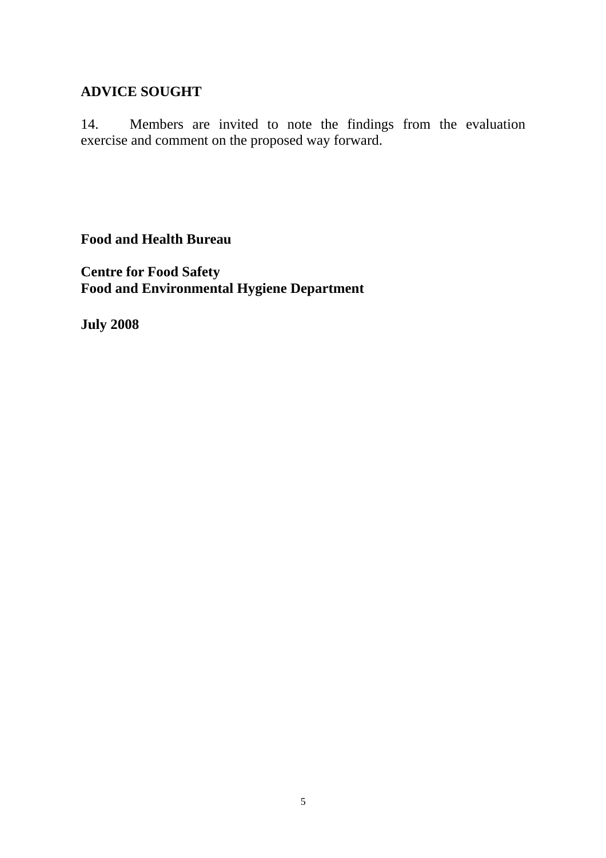#### **ADVICE SOUGHT**

14. Members are invited to note the findings from the evaluation exercise and comment on the proposed way forward.

**Food and Health Bureau** 

**Centre for Food Safety Food and Environmental Hygiene Department** 

**July 2008**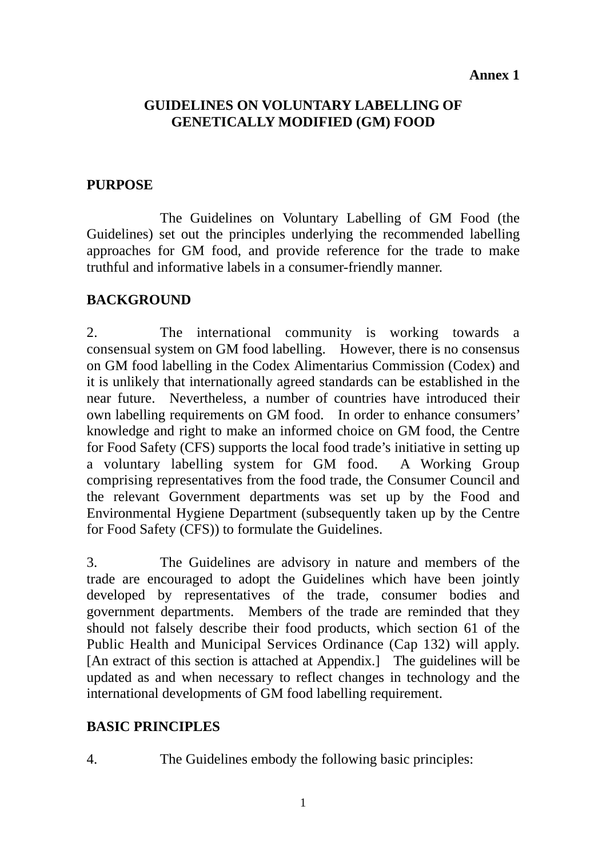#### **Annex 1**

## **GUIDELINES ON VOLUNTARY LABELLING OF GENETICALLY MODIFIED (GM) FOOD**

### **PURPOSE**

 The Guidelines on Voluntary Labelling of GM Food (the Guidelines) set out the principles underlying the recommended labelling approaches for GM food, and provide reference for the trade to make truthful and informative labels in a consumer-friendly manner.

### **BACKGROUND**

2. The international community is working towards a consensual system on GM food labelling. However, there is no consensus on GM food labelling in the Codex Alimentarius Commission (Codex) and it is unlikely that internationally agreed standards can be established in the near future. Nevertheless, a number of countries have introduced their own labelling requirements on GM food. In order to enhance consumers' knowledge and right to make an informed choice on GM food, the Centre for Food Safety (CFS) supports the local food trade's initiative in setting up a voluntary labelling system for GM food. A Working Group comprising representatives from the food trade, the Consumer Council and the relevant Government departments was set up by the Food and Environmental Hygiene Department (subsequently taken up by the Centre for Food Safety (CFS)) to formulate the Guidelines.

3. The Guidelines are advisory in nature and members of the trade are encouraged to adopt the Guidelines which have been jointly developed by representatives of the trade, consumer bodies and government departments. Members of the trade are reminded that they should not falsely describe their food products, which section 61 of the Public Health and Municipal Services Ordinance (Cap 132) will apply. [An extract of this section is attached at Appendix.] The guidelines will be updated as and when necessary to reflect changes in technology and the international developments of GM food labelling requirement.

## **BASIC PRINCIPLES**

4. The Guidelines embody the following basic principles: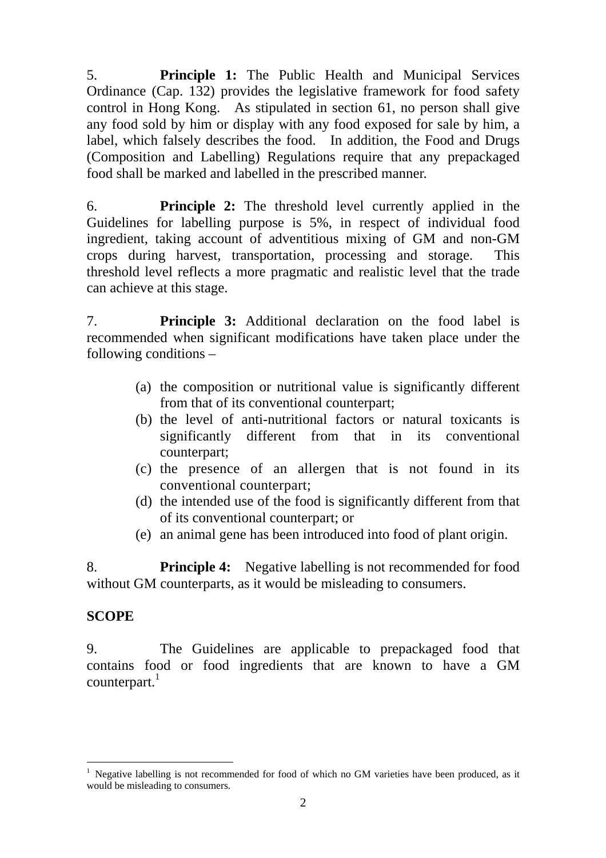5. **Principle 1:** The Public Health and Municipal Services Ordinance (Cap. 132) provides the legislative framework for food safety control in Hong Kong. As stipulated in section 61, no person shall give any food sold by him or display with any food exposed for sale by him, a label, which falsely describes the food. In addition, the Food and Drugs (Composition and Labelling) Regulations require that any prepackaged food shall be marked and labelled in the prescribed manner.

6. **Principle 2:** The threshold level currently applied in the Guidelines for labelling purpose is 5%, in respect of individual food ingredient, taking account of adventitious mixing of GM and non-GM crops during harvest, transportation, processing and storage. This threshold level reflects a more pragmatic and realistic level that the trade can achieve at this stage.

7. **Principle 3:** Additional declaration on the food label is recommended when significant modifications have taken place under the following conditions –

- (a) the composition or nutritional value is significantly different from that of its conventional counterpart;
- (b) the level of anti-nutritional factors or natural toxicants is significantly different from that in its conventional counterpart;
- (c) the presence of an allergen that is not found in its conventional counterpart;
- (d) the intended use of the food is significantly different from that of its conventional counterpart; or
- (e) an animal gene has been introduced into food of plant origin.

8. **Principle 4:** Negative labelling is not recommended for food without GM counterparts, as it would be misleading to consumers.

## **SCOPE**

 $\overline{a}$ 

9. The Guidelines are applicable to prepackaged food that contains food or food ingredients that are known to have a GM  $counterpart.<sup>1</sup>$ 

<sup>1</sup> Negative labelling is not recommended for food of which no GM varieties have been produced, as it would be misleading to consumers.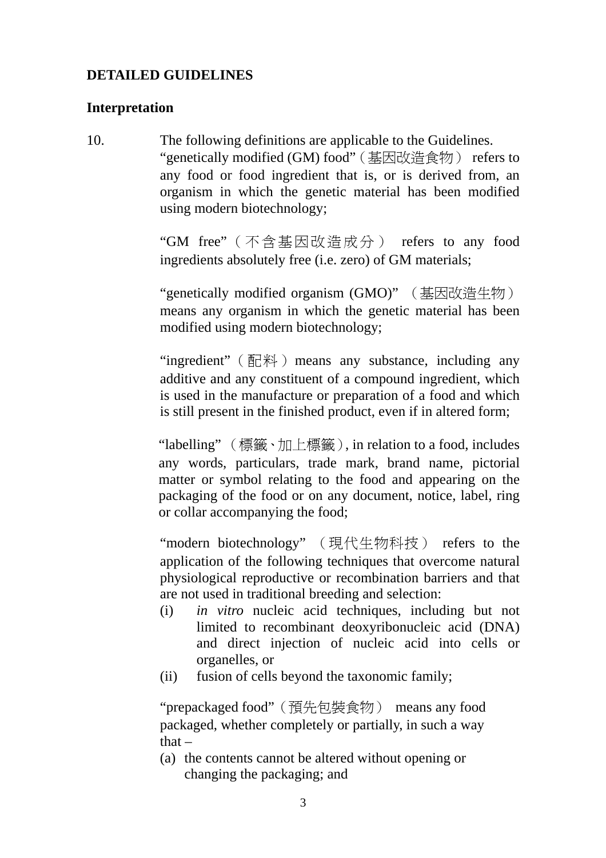### **DETAILED GUIDELINES**

#### **Interpretation**

10. The following definitions are applicable to the Guidelines. "genetically modified (GM) food"(基因改造食物) refers to any food or food ingredient that is, or is derived from, an organism in which the genetic material has been modified using modern biotechnology;

> "GM free"(不含基因改造成分) refers to any food ingredients absolutely free (i.e. zero) of GM materials;

> "genetically modified organism (GMO)" (基因改造生物) means any organism in which the genetic material has been modified using modern biotechnology;

> "ingredient" (配料) means any substance, including any additive and any constituent of a compound ingredient, which is used in the manufacture or preparation of a food and which is still present in the finished product, even if in altered form;

> "labelling" (標籤、加上標籤), in relation to a food, includes any words, particulars, trade mark, brand name, pictorial matter or symbol relating to the food and appearing on the packaging of the food or on any document, notice, label, ring or collar accompanying the food;

> "modern biotechnology" (現代生物科技) refers to the application of the following techniques that overcome natural physiological reproductive or recombination barriers and that are not used in traditional breeding and selection:

- (i) *in vitro* nucleic acid techniques, including but not limited to recombinant deoxyribonucleic acid (DNA) and direct injection of nucleic acid into cells or organelles, or
- (ii) fusion of cells beyond the taxonomic family;

"prepackaged food"(預先包裝食物) means any food packaged, whether completely or partially, in such a way that $-$ 

 (a) the contents cannot be altered without opening or changing the packaging; and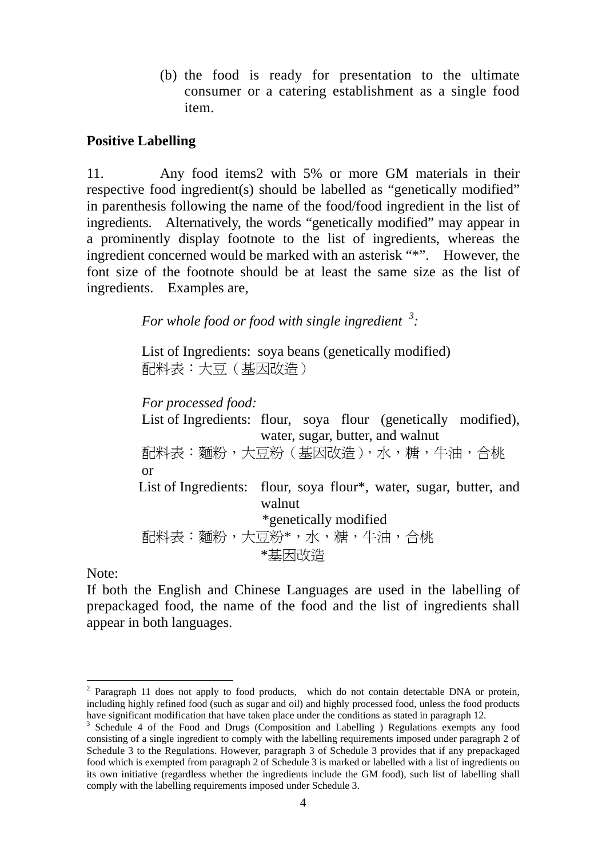(b) the food is ready for presentation to the ultimate consumer or a catering establishment as a single food item.

#### **Positive Labelling**

11. Any food items2 with 5% or more GM materials in their respective food ingredient(s) should be labelled as "genetically modified" in parenthesis following the name of the food/food ingredient in the list of ingredients. Alternatively, the words "genetically modified" may appear in a prominently display footnote to the list of ingredients, whereas the ingredient concerned would be marked with an asterisk "\*". However, the font size of the footnote should be at least the same size as the list of ingredients. Examples are,

*For whole food or food with single ingredient <sup>3</sup> :* 

List of Ingredients: soya beans (genetically modified) 配料表:大豆(基因改造)

*For processed food:*  List of Ingredients: flour, soya flour (genetically modified), water, sugar, butter, and walnut 配料表:麵粉,大豆粉(基因改造),水,糖,牛油,合桃 or List of Ingredients: flour, soya flour\*, water, sugar, butter, and walnut \*genetically modified 配料表:麵粉,大豆粉\*,水,糖,牛油,合桃 \*基因改造

Note:

 $\overline{a}$ 

If both the English and Chinese Languages are used in the labelling of prepackaged food, the name of the food and the list of ingredients shall appear in both languages.

 $2$  Paragraph 11 does not apply to food products, which do not contain detectable DNA or protein, including highly refined food (such as sugar and oil) and highly processed food, unless the food products have significant modification that have taken place under the conditions as stated in paragraph 12.

 $3$  Schedule 4 of the Food and Drugs (Composition and Labelling ) Regulations exempts any food consisting of a single ingredient to comply with the labelling requirements imposed under paragraph 2 of Schedule 3 to the Regulations. However, paragraph 3 of Schedule 3 provides that if any prepackaged food which is exempted from paragraph 2 of Schedule 3 is marked or labelled with a list of ingredients on its own initiative (regardless whether the ingredients include the GM food), such list of labelling shall comply with the labelling requirements imposed under Schedule 3.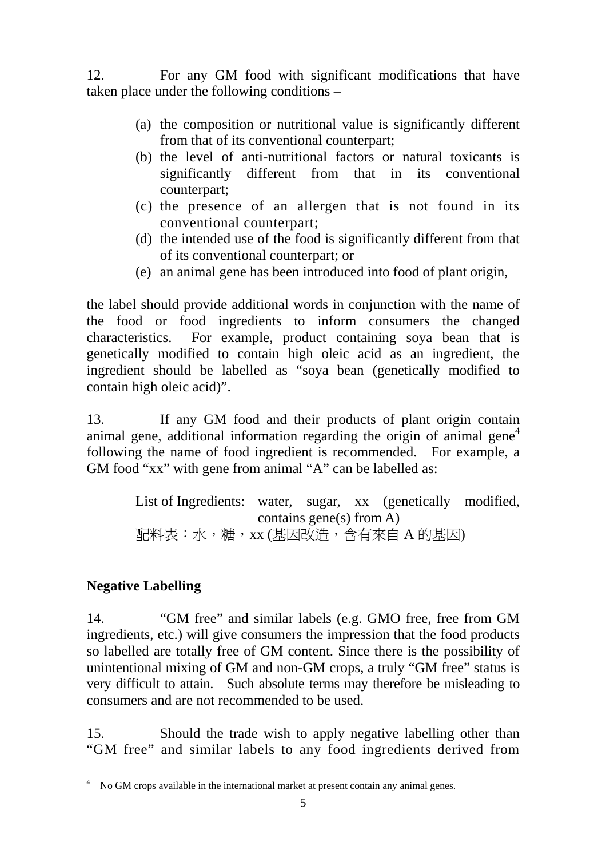12. For any GM food with significant modifications that have taken place under the following conditions –

- (a) the composition or nutritional value is significantly different from that of its conventional counterpart;
- (b) the level of anti-nutritional factors or natural toxicants is significantly different from that in its conventional counterpart;
- (c) the presence of an allergen that is not found in its conventional counterpart;
- (d) the intended use of the food is significantly different from that of its conventional counterpart; or
- (e) an animal gene has been introduced into food of plant origin,

the label should provide additional words in conjunction with the name of the food or food ingredients to inform consumers the changed characteristics. For example, product containing soya bean that is genetically modified to contain high oleic acid as an ingredient, the ingredient should be labelled as "soya bean (genetically modified to contain high oleic acid)".

13. If any GM food and their products of plant origin contain animal gene, additional information regarding the origin of animal gene<sup>4</sup> following the name of food ingredient is recommended. For example, a GM food "xx" with gene from animal "A" can be labelled as:

> List of Ingredients: water, sugar, xx (genetically modified, contains gene(s) from  $A$ ) 配料表:水,糖,xx (基因改造,含有來自 A 的基因)

# **Negative Labelling**

14. "GM free" and similar labels (e.g. GMO free, free from GM ingredients, etc.) will give consumers the impression that the food products so labelled are totally free of GM content. Since there is the possibility of unintentional mixing of GM and non-GM crops, a truly "GM free" status is very difficult to attain. Such absolute terms may therefore be misleading to consumers and are not recommended to be used.

15. Should the trade wish to apply negative labelling other than "GM free" and similar labels to any food ingredients derived from

 4 No GM crops available in the international market at present contain any animal genes.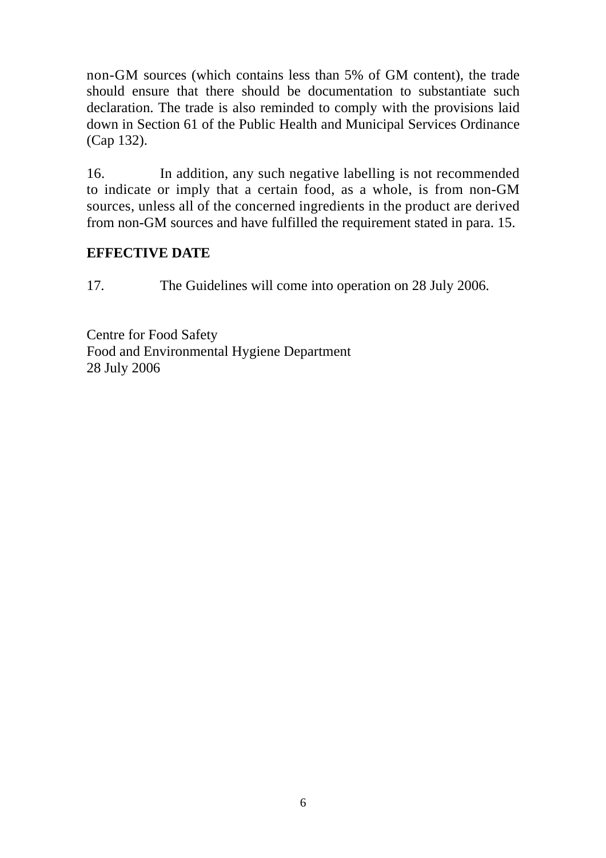non-GM sources (which contains less than 5% of GM content), the trade should ensure that there should be documentation to substantiate such declaration. The trade is also reminded to comply with the provisions laid down in Section 61 of the Public Health and Municipal Services Ordinance (Cap 132).

16. In addition, any such negative labelling is not recommended to indicate or imply that a certain food, as a whole, is from non-GM sources, unless all of the concerned ingredients in the product are derived from non-GM sources and have fulfilled the requirement stated in para. 15.

### **EFFECTIVE DATE**

17. The Guidelines will come into operation on 28 July 2006.

Centre for Food Safety Food and Environmental Hygiene Department 28 July 2006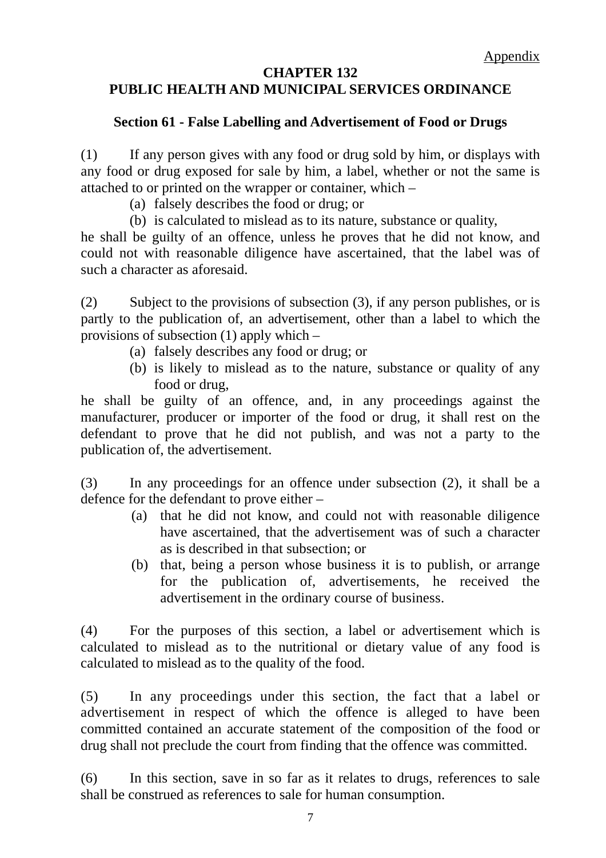#### **CHAPTER 132 PUBLIC HEALTH AND MUNICIPAL SERVICES ORDINANCE**

## **Section 61 - False Labelling and Advertisement of Food or Drugs**

(1) If any person gives with any food or drug sold by him, or displays with any food or drug exposed for sale by him, a label, whether or not the same is attached to or printed on the wrapper or container, which –

- (a) falsely describes the food or drug; or
- (b) is calculated to mislead as to its nature, substance or quality,

he shall be guilty of an offence, unless he proves that he did not know, and could not with reasonable diligence have ascertained, that the label was of such a character as aforesaid.

(2) Subject to the provisions of subsection (3), if any person publishes, or is partly to the publication of, an advertisement, other than a label to which the provisions of subsection (1) apply which –

- (a) falsely describes any food or drug; or
- (b) is likely to mislead as to the nature, substance or quality of any food or drug,

he shall be guilty of an offence, and, in any proceedings against the manufacturer, producer or importer of the food or drug, it shall rest on the defendant to prove that he did not publish, and was not a party to the publication of, the advertisement.

(3) In any proceedings for an offence under subsection (2), it shall be a defence for the defendant to prove either –

- (a) that he did not know, and could not with reasonable diligence have ascertained, that the advertisement was of such a character as is described in that subsection; or
- (b) that, being a person whose business it is to publish, or arrange for the publication of, advertisements, he received the advertisement in the ordinary course of business.

 (4) For the purposes of this section, a label or advertisement which is calculated to mislead as to the nutritional or dietary value of any food is calculated to mislead as to the quality of the food.

 (5) In any proceedings under this section, the fact that a label or advertisement in respect of which the offence is alleged to have been committed contained an accurate statement of the composition of the food or drug shall not preclude the court from finding that the offence was committed.

 (6) In this section, save in so far as it relates to drugs, references to sale shall be construed as references to sale for human consumption.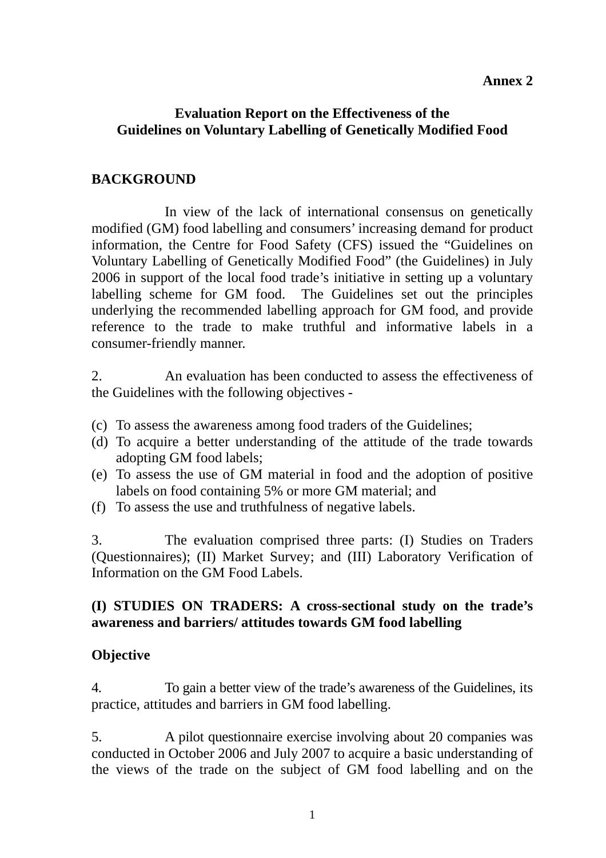### **Annex 2**

#### **Evaluation Report on the Effectiveness of the Guidelines on Voluntary Labelling of Genetically Modified Food**

## **BACKGROUND**

 In view of the lack of international consensus on genetically modified (GM) food labelling and consumers' increasing demand for product information, the Centre for Food Safety (CFS) issued the "Guidelines on Voluntary Labelling of Genetically Modified Food" (the Guidelines) in July 2006 in support of the local food trade's initiative in setting up a voluntary labelling scheme for GM food. The Guidelines set out the principles underlying the recommended labelling approach for GM food, and provide reference to the trade to make truthful and informative labels in a consumer-friendly manner.

2. An evaluation has been conducted to assess the effectiveness of the Guidelines with the following objectives -

- (c) To assess the awareness among food traders of the Guidelines;
- (d) To acquire a better understanding of the attitude of the trade towards adopting GM food labels;
- (e) To assess the use of GM material in food and the adoption of positive labels on food containing 5% or more GM material; and
- (f) To assess the use and truthfulness of negative labels.

3. The evaluation comprised three parts: (I) Studies on Traders (Questionnaires); (II) Market Survey; and (III) Laboratory Verification of Information on the GM Food Labels.

### **(I) STUDIES ON TRADERS: A cross-sectional study on the trade's awareness and barriers/ attitudes towards GM food labelling**

## **Objective**

4. To gain a better view of the trade's awareness of the Guidelines, its practice, attitudes and barriers in GM food labelling.

5. A pilot questionnaire exercise involving about 20 companies was conducted in October 2006 and July 2007 to acquire a basic understanding of the views of the trade on the subject of GM food labelling and on the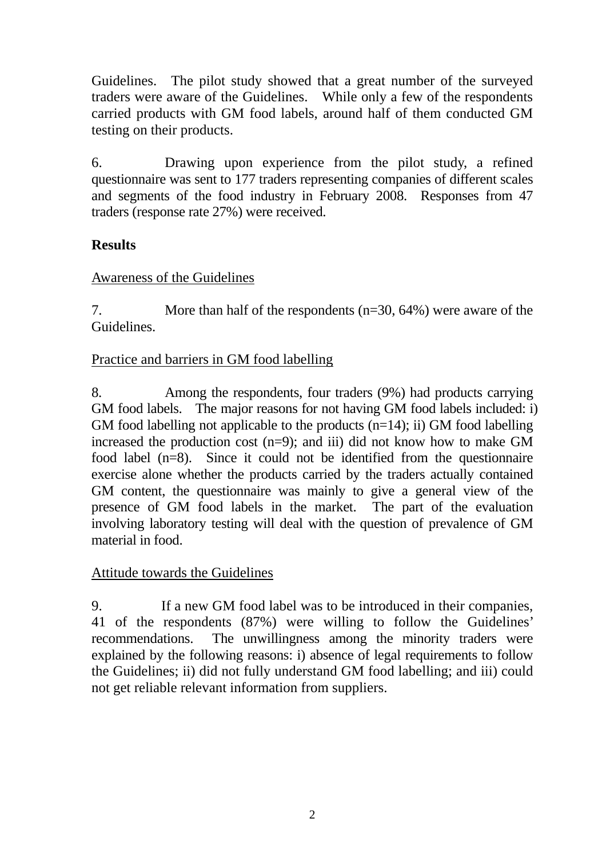Guidelines. The pilot study showed that a great number of the surveyed traders were aware of the Guidelines. While only a few of the respondents carried products with GM food labels, around half of them conducted GM testing on their products.

6. Drawing upon experience from the pilot study, a refined questionnaire was sent to 177 traders representing companies of different scales and segments of the food industry in February 2008. Responses from 47 traders (response rate 27%) were received.

# **Results**

## Awareness of the Guidelines

7. More than half of the respondents (n=30, 64%) were aware of the Guidelines.

## Practice and barriers in GM food labelling

8. Among the respondents, four traders (9%) had products carrying GM food labels. The major reasons for not having GM food labels included: i) GM food labelling not applicable to the products  $(n=14)$ ; ii) GM food labelling increased the production cost  $(n=9)$ ; and iii) did not know how to make GM food label (n=8). Since it could not be identified from the questionnaire exercise alone whether the products carried by the traders actually contained GM content, the questionnaire was mainly to give a general view of the presence of GM food labels in the market. The part of the evaluation involving laboratory testing will deal with the question of prevalence of GM material in food.

## Attitude towards the Guidelines

9. If a new GM food label was to be introduced in their companies, 41 of the respondents (87%) were willing to follow the Guidelines' recommendations. The unwillingness among the minority traders were explained by the following reasons: i) absence of legal requirements to follow the Guidelines; ii) did not fully understand GM food labelling; and iii) could not get reliable relevant information from suppliers.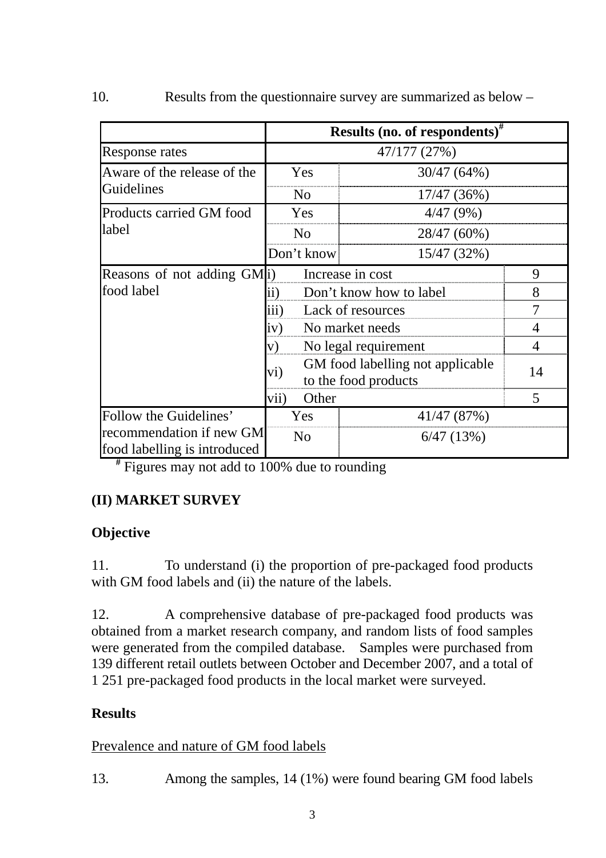|                                                          | Results (no. of respondents) <sup>#</sup>                       |             |                |
|----------------------------------------------------------|-----------------------------------------------------------------|-------------|----------------|
| Response rates                                           | 47/177 (27%)                                                    |             |                |
| Aware of the release of the<br>Guidelines                | Yes                                                             | 30/47 (64%) |                |
|                                                          | N <sub>0</sub>                                                  | 17/47 (36%) |                |
| Products carried GM food<br>label                        | Yes                                                             | 4/47(9%)    |                |
|                                                          | N <sub>o</sub>                                                  | 28/47 (60%) |                |
|                                                          | Don't know                                                      | 15/47 (32%) |                |
| Reasons of not adding GM(i)                              | Increase in cost                                                |             | 9              |
| food label                                               | Don't know how to label<br>$\rm ii)$                            |             | 8              |
|                                                          | iii)<br>Lack of resources                                       |             | $\overline{7}$ |
|                                                          | No market needs<br>iv)                                          |             | $\overline{4}$ |
|                                                          | V)<br>No legal requirement                                      |             | 4              |
|                                                          | GM food labelling not applicable<br>vi)<br>to the food products |             | 14             |
|                                                          | vii)<br>Other                                                   |             | 5              |
| Follow the Guidelines'                                   | Yes                                                             | 41/47 (87%) |                |
| recommendation if new GM<br>food labelling is introduced | N <sub>0</sub>                                                  | 6/47(13%)   |                |

10. Results from the questionnaire survey are summarized as below –

**#** Figures may not add to 100% due to rounding

# **(II) MARKET SURVEY**

## **Objective**

11. To understand (i) the proportion of pre-packaged food products with GM food labels and (ii) the nature of the labels.

12. A comprehensive database of pre-packaged food products was obtained from a market research company, and random lists of food samples were generated from the compiled database. Samples were purchased from 139 different retail outlets between October and December 2007, and a total of 1 251 pre-packaged food products in the local market were surveyed.

# **Results**

## Prevalence and nature of GM food labels

13. Among the samples, 14 (1%) were found bearing GM food labels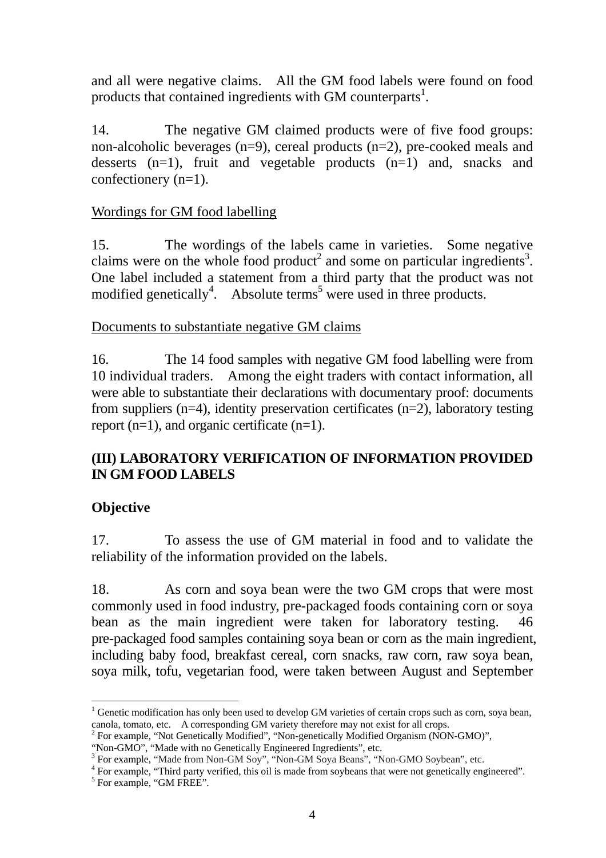and all were negative claims. All the GM food labels were found on food products that contained ingredients with GM counterparts<sup>1</sup>.

14. The negative GM claimed products were of five food groups: non-alcoholic beverages (n=9), cereal products (n=2), pre-cooked meals and desserts (n=1), fruit and vegetable products (n=1) and, snacks and confectionery (n=1).

#### Wordings for GM food labelling

15. The wordings of the labels came in varieties. Some negative claims were on the whole food product<sup>2</sup> and some on particular ingredients<sup>3</sup>. One label included a statement from a third party that the product was not modified genetically<sup>4</sup>. Absolute terms<sup>5</sup> were used in three products.

#### Documents to substantiate negative GM claims

16. The 14 food samples with negative GM food labelling were from 10 individual traders. Among the eight traders with contact information, all were able to substantiate their declarations with documentary proof: documents from suppliers (n=4), identity preservation certificates (n=2), laboratory testing report (n=1), and organic certificate (n=1).

## **(III) LABORATORY VERIFICATION OF INFORMATION PROVIDED IN GM FOOD LABELS**

## **Objective**

17. To assess the use of GM material in food and to validate the reliability of the information provided on the labels.

18. As corn and soya bean were the two GM crops that were most commonly used in food industry, pre-packaged foods containing corn or soya bean as the main ingredient were taken for laboratory testing. 46 pre-packaged food samples containing soya bean or corn as the main ingredient, including baby food, breakfast cereal, corn snacks, raw corn, raw soya bean, soya milk, tofu, vegetarian food, were taken between August and September

 $\overline{a}$ <sup>1</sup> Genetic modification has only been used to develop GM varieties of certain crops such as corn, soya bean, canola, tomato, etc. A corresponding GM variety therefore may not exist for all crops.

<sup>&</sup>lt;sup>2</sup> For example, "Not Genetically Modified", "Non-genetically Modified Organism (NON-GMO)",

<sup>&</sup>quot;Non-GMO", "Made with no Genetically Engineered Ingredients", etc.

For example, "Made from Non-GM Soy", "Non-GM Soya Beans", "Non-GMO Soybean", etc.

<sup>&</sup>lt;sup>4</sup> For example, "Third party verified, this oil is made from soybeans that were not genetically engineered".  $5$  For example, "GM FREE".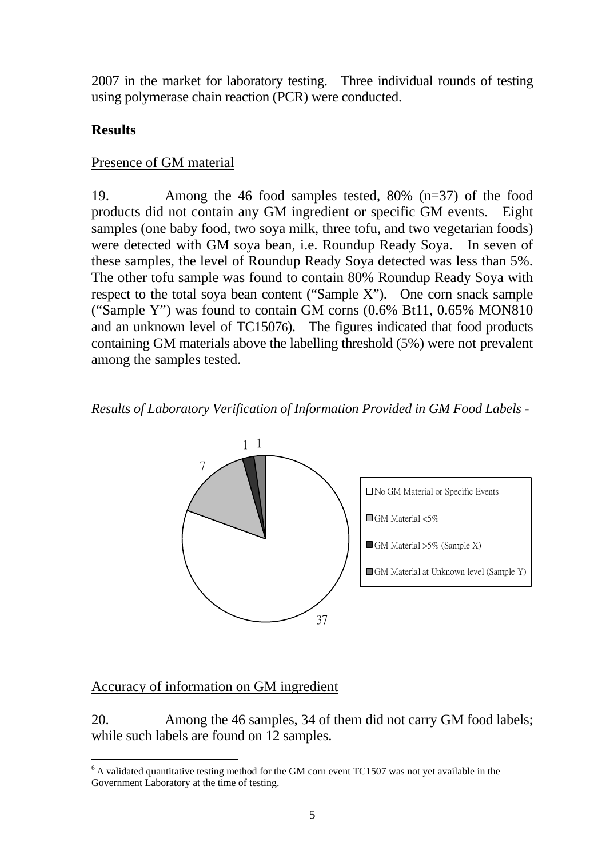2007 in the market for laboratory testing. Three individual rounds of testing using polymerase chain reaction (PCR) were conducted.

## **Results**

#### Presence of GM material

19. Among the 46 food samples tested, 80% (n=37) of the food products did not contain any GM ingredient or specific GM events. Eight samples (one baby food, two soya milk, three tofu, and two vegetarian foods) were detected with GM soya bean, i.e. Roundup Ready Soya. In seven of these samples, the level of Roundup Ready Soya detected was less than 5%. The other tofu sample was found to contain 80% Roundup Ready Soya with respect to the total soya bean content ("Sample X"). One corn snack sample ("Sample Y") was found to contain GM corns  $(0.6\% \text{ Bt11}, 0.65\% \text{ MON810})$ and an unknown level of TC15076). The figures indicated that food products containing GM materials above the labelling threshold (5%) were not prevalent among the samples tested.

*Results of Laboratory Verification of Information Provided in GM Food Labels -*



## Accuracy of information on GM ingredient

20. Among the 46 samples, 34 of them did not carry GM food labels; while such labels are found on 12 samples.

 $\overline{a}$  $6$  A validated quantitative testing method for the GM corn event TC1507 was not yet available in the Government Laboratory at the time of testing.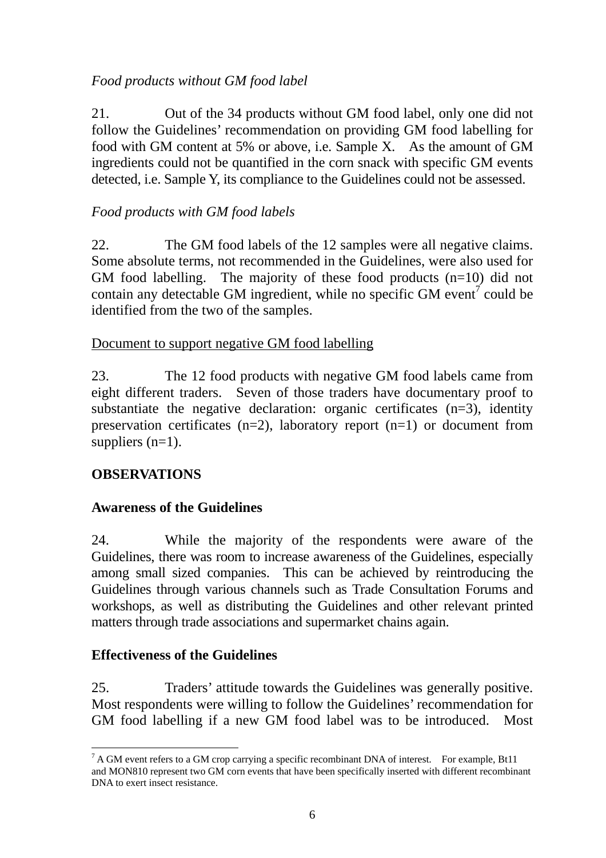## *Food products without GM food label*

21. Out of the 34 products without GM food label, only one did not follow the Guidelines' recommendation on providing GM food labelling for food with GM content at 5% or above, i.e. Sample X. As the amount of GM ingredients could not be quantified in the corn snack with specific GM events detected, i.e. Sample Y, its compliance to the Guidelines could not be assessed.

## *Food products with GM food labels*

22. The GM food labels of the 12 samples were all negative claims. Some absolute terms, not recommended in the Guidelines, were also used for GM food labelling. The majority of these food products (n=10) did not contain any detectable GM ingredient, while no specific GM event<sup>7</sup> could be identified from the two of the samples.

#### Document to support negative GM food labelling

23. The 12 food products with negative GM food labels came from eight different traders. Seven of those traders have documentary proof to substantiate the negative declaration: organic certificates  $(n=3)$ , identity preservation certificates  $(n=2)$ , laboratory report  $(n=1)$  or document from suppliers  $(n=1)$ .

## **OBSERVATIONS**

#### **Awareness of the Guidelines**

24. While the majority of the respondents were aware of the Guidelines, there was room to increase awareness of the Guidelines, especially among small sized companies. This can be achieved by reintroducing the Guidelines through various channels such as Trade Consultation Forums and workshops, as well as distributing the Guidelines and other relevant printed matters through trade associations and supermarket chains again.

#### **Effectiveness of the Guidelines**

25. Traders' attitude towards the Guidelines was generally positive. Most respondents were willing to follow the Guidelines' recommendation for GM food labelling if a new GM food label was to be introduced. Most

 $\overline{a}$  $7 A GM$  event refers to a GM crop carrying a specific recombinant DNA of interest. For example, Bt11 and MON810 represent two GM corn events that have been specifically inserted with different recombinant DNA to exert insect resistance.